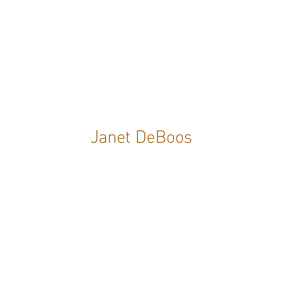Janet DeBoos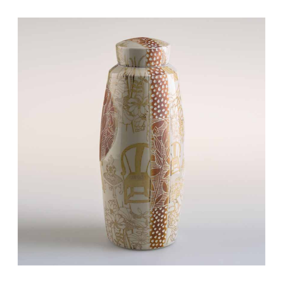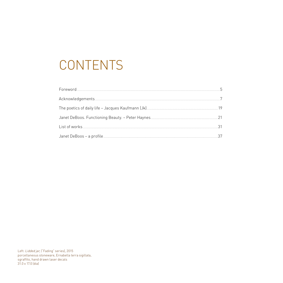# CONTENTS

| Foreword.                                                                        |  |
|----------------------------------------------------------------------------------|--|
|                                                                                  |  |
| The poetics of daily life – Jacques Kaufmann [Jk]_______________________________ |  |
|                                                                                  |  |
|                                                                                  |  |
|                                                                                  |  |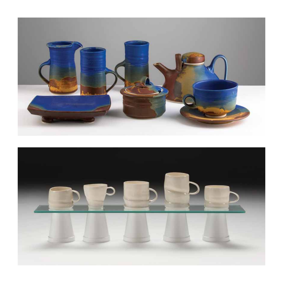

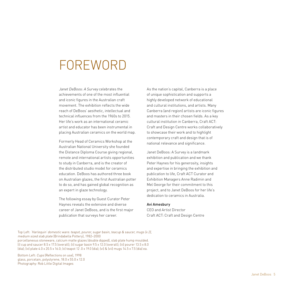## Foreword

Janet DeBoos: A Survey celebrates the achievements of one of the most influential and iconic figures in the Australian craft movement. The exhibition reflects the wide reach of DeBoos' aesthetic, intellectual and technical influences from the 1960s to 2015. Her life's work as an international ceramic artist and educator has been instrumental in placing Australian ceramics on the world map.

Formerly Head of Ceramics Workshop at the Australian National University she founded the Distance Diploma Course giving regional, remote and international artists opportunities to study in Canberra, and is the creator of the distributed studio model for ceramics education. DeBoos has authored three book on Australian glazes, the first Australian potter to do so, and has gained global recognition as an expert in glaze technology.

The following essay by Guest Curator Peter Haynes reveals the extensive and diverse career of Janet DeBoos, and is the first major publication that surveys her career.

As the nation's capital, Canberra is a place of unique sophistication and supports a highly developed network of educational and cultural institutions, and artists. Many Canberra (and region) artists are iconic figures and masters in their chosen fields. As a key cultural institution in Canberra, Craft ACT: Craft and Design Centre works collaboratively to showcase their work and to highlight contemporary craft and design that is of national relevance and significance.

Janet DeBoos: A Survey is a landmark exhibition and publication and we thank Peter Haynes for his generosity, insights and expertise in bringing the exhibition and publication to life, Craft ACT Curator and Exhibition Managers Anne Radimin and Mel George for their commitment to this project, and to Janet DeBoos for her life's dedication to ceramics in Australia.

### Avi Amesbury

CEO and Artist Director Craft ACT: Craft and Design Centre

Top Left: 'Harlequin' domestic ware: teapot, pourer, sugar basin, teacup & saucer, mugs (x 2), medium sized slab plate (Brindabella Pottery), 1982–2000 porcellaneous stoneware, calcium matte glazes (double dipped), slab plate hump moulded. (i) cup and saucer 8.5 x 17.5 (overall); (ii) sugar basin 9.5 x 12.0 (overall); (iii) pourer 13.5 x 8.0 (dia); (iv) plate 4.0 x 20.5 x 16.0; (v) teapot 12 .0 x 19.0 (dia); (vi) & (vii) mugs 14.5 x 7.5 (dia) ea.

Bottom Left: Cups (Reflections on use), 1998 glass, porcelain, polystyrene, 18.0 x 55.0 x 12.0 Photography: Rob Little Digital Images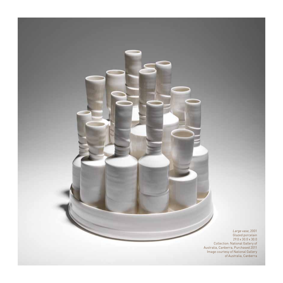Large vase, 2001 Glazed porcelain 29.0 x 30.0 x 30.0 Collection: National Gallery of Australia, Canberra, Purchased 2011 Image courtesy of National Gallery of Australia, Canberra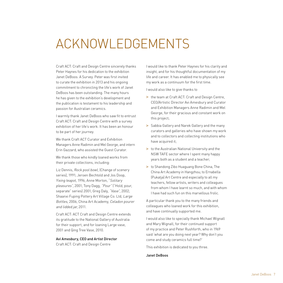# ACKNOWLEDGEMENTS

Craft ACT: Craft and Design Centre sincerely thanks Peter Haynes for his dedication to the exhibition Janet DeBoos: A Survey. Peter was first invited to curate the exhibition in 2013 and his ongoing commitment to chronicling the life's work of Janet DeBoos has been outstanding. The many hours he has given to the exhibition's development and the publication is testament to his leadership and passion for Australian ceramics.

I warmly thank Janet DeBoos who saw fit to entrust Craft ACT: Craft and Design Centre with a survey exhibition of her life's work. It has been an honour to be part of her journey.

We thank Craft ACT Curator and Exhibition Managers Anne Radimin and Mel George, and intern Erin Gazzard, who assisted the Guest Curator.

We thank those who kindly loaned works from their private collections, including:

Liz Dennis, Rock pool bowl, (Change of scenery series), 1991; Jeroen Bechtold and Jos Doop, Yixing teapot, 1996; Anne Morton, "Solitary <sup>p</sup>leasures", 2001; Tony Dagg, "Pour" ("Hold, pour, separate" series) 2001; Greg Daly, "Vase", 2002; Shaanxi Fuping Pottery Art Village Co. Ltd, Large Bottles, 2006; China Art Academy, Celadon pourer and lidded jar, 2011.

Craft ACT: ACT Craft and Design Centre extends its gratitude to the National Gallery of Australia for their support, and for loaning Large vase, 2001 and Qing Tree Vase, 2010.

### Avi Amesbury, CEO and Artist Director

Craft ACT: Craft and Design Centre

I would like to thank Peter Haynes for his clarity and insight, and for his thoughtful documentation of my life and career. It has enabled me to physically see my work as a continuum for the first time.

I would also like to give thanks to

- > the team at Craft ACT: Craft and Design Centre, CEO/Artistic Director Avi Amesbury and Curator and Exhibition Managers Anne Radimin and Mel George, for their gracious and constant work on this project;
- > Sabbia Gallery and Narek Gallery and the many curators and galleries who have shown my work and to collectors and collecting institutions who have acquired it;
- > to the Australian National University and the NSW TAFE sector where I spent many happy years both as a student and a teacher;
- > to Shandong Zibo Huaguang Bone China, The China Art Academy in Hangzhou; to Ernabella (Pukatja) Art Centre and especially to all my teachers, fellow artists, writers and colleagues from whom I have learnt so much, and with whom I have had such fun on this marvellous frolic.

A particular thank you to the many friends and colleagues who loaned work for this exhibition, and have continually supported me.

I would also like to specially thank Michael Wignall and Mary Wignall, for their continued support of my practice and Peter Rushforth, who in 1969 said 'what are you doing next year? Why don't you come and study ceramics full time?'

This exhibition is dedicated to you three.

### Janet DeBoos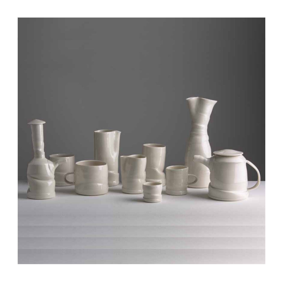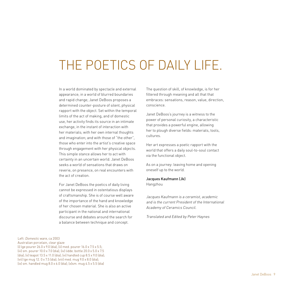# THE POETICS OF DAILY LIFE.

In a world dominated by spectacle and external appearance; in a world of blurred boundaries and rapid change; Janet DeBoos proposes a determined counter-posture of silent, physical rapport with the object. Set within the temporal limits of the act of making, and of domestic use, her activity finds its source in an intimate exchange, in the instant of interaction with her materials; with her own internal thoughts and imagination; and with those of "the other", those who enter into the artist's creative space through engagement with her physical objects. This simple stance allows her to act with certainty in an uncertain world. Janet DeBoos seeks a world of sensations that draws on reverie, on presence, on real encounters with the act of creation.

For Janet DeBoos the poetics of daily living cannot be expressed in ostentatious displays of craftsmanship. She is of course well aware of the importance of the hand and knowledge of her chosen material. She is also an active participant in the national and international discourse and debates around the search for a balance between technique and concept.

The question of skill, of knowledge, is for her filtered through meaning and all that that embraces: sensations, reason, value, direction, conscience.

Janet DeBoos's journey is a witness to the power of personal curiosity, a characteristic that provides a powerful engine, allowing her to plough diverse fields: materials, tools, cultures.

Her art expresses a poetic rapport with the world that offers a daily soul-to-soul contact via the functional object.

As on a journey: leaving home and opening oneself up to the world.

### Jacques Kaufmann (Jk)

Hangzhou

Jacques Kaufmann is a ceramist, academic and is the current President of the International Academy of Ceramics Council.

Translated and Edited by Peter Haynes

Left: Domestic ware, ca 2003

Australian porcelain, clear glaze (i) lge pourer 26.0 x 9.0 (dia); (ii) med. pourer 16.0 x 7.5 x 5.5; (iii) sm. pourer 10.0 x 7.0 (dia); (iv) lidde. bottle 20.0 x 5.0 x 7.5 (dia); (v) teapot 13.5 x 11.0 (dia); (vi) handled cup 8.5 x 9.0 (dia); (vii) lge mug 12. 0 x 7.5 (dia); (viii) med. mug 9.0 x 8.0 (dia); (ix) sm. handled mug 8.0 x 6.0 (dia); (x)sm. mug 4.5 x 5.5 (dia)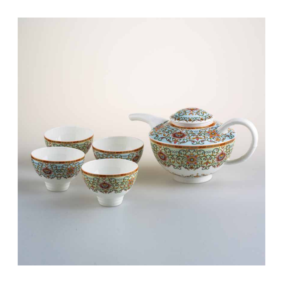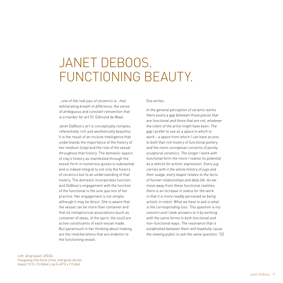# Janet DeBoos. Functioning Beauty.

…one of the real joys of ceramics is...that exhilarating breath of difference, the sense of ambiguous and constant reinvention that is <sup>a</sup> marker for art (1). Edmund de Waal.

Janet DeBoos's art is conceptually complex, referentially rich and aesthetically beautiful. It is the result of an incisive intelligence that understands the importance of the history of her medium (clay) and the role of the vessel throughout that history. The domestic aspect of clay's history as manifested through the vessel form in numerous guises is substantial and is indeed integral to not only the history of ceramics but to an understanding of that history. The domestic incorporates function and DeBoos's engagement with the function of the functional is the sine qua non of her practice. Her engagement is not simple, although it may be direct. She is aware that the vessel can be more than container and that its metaphorical associations (such as container of ideas, of the spirit, the soul) are active constituents of each vessel made. But paramount in her thinking about making are the reverberations that are endemic to the functioning vessel.

She writes:

In the general perception of ceramic works there exists a gap between those pieces that are functional and those that are not, whatever the intent of the artist might have been. The gap I prefer to see as a space in which to work – a space from which I can have access to both that rich history of functional pottery and the more conceptual concerns of purely sculptural ceramics. The longer I work with functional form the more I realise its potential as a vehicle for artistic expression. Every jug carries with it the whole history of jugs and their usage, every teapot relates to the facts of human relationships and daily life. As we move away from these functional realities, there is an increase in status for the work in that it is more readily perceived as being artistic in intent. What we have to ask is what is the corresponding loss. This question is my concern and I seek answers to it by working with the same forms in both functional and non-functional ways. The resonance that is established between them will hopefully cause the viewing public to ask the same question." (2)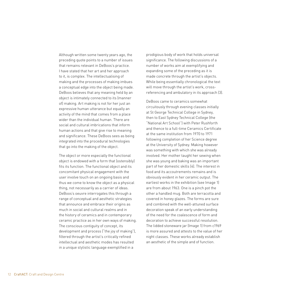Although written some twenty years ago, the preceding quote points to a number of issues that remains relevant in DeBoos's practice. I have stated that her art and her approach to it, is complex. The intellectualising of making and the processes of making imbues a conceptual edge into the object being made. DeBoos believes that any meaning held by an object is intimately connected to its (manner of) making. Art making is not for her just an expressive human utterance but equally an activity of the mind that comes from a place wider than the individual human. There are social and cultural imbrications that inform human actions and that give rise to meaning and significance. These DeBoos sees as being integrated into the procedural technologies that go into the making of the object.

The object or more especially the functional object is endowed with a form that (ostensibly) fits its function. The functional object and its concomitant physical engagement with the user involve touch on an ongoing basis and thus we come to know the object as a physical thing, not necessarily as a carrier of ideas. DeBoos's oeuvre interrogates this through a range of conceptual and aesthetic strategies that announce and embrace their origins as much in social and cultural realms and in the history of ceramics and in contemporary ceramic practice as in her own ways of making. The conscious contiguity of concept, its development and process ("the joy of making"), filtered through the artist's critically refined intellectual and aesthetic modes has resulted in a unique stylistic language exemplified in a

prodigious body of work that holds universal significance. The following discussions of a number of works aim at exemplifying and expanding some of the preceding as it is made concrete through the artist's objects. While being essentially chronological the text will move through the artist's work, crossreferencing and ambulatory in its approach (3).

DeBoos came to ceramics somewhat circuitously through evening classes initially at St George Technical College in Sydney, then to East Sydney Technical College (the "National Art School") with Peter Rushforth and thence to a full-time Ceramics Certificate at the same institution from 1970 to 1971 following completion of her Science degree at the University of Sydney. Making however was something with which she was already involved. Her mother taught her sewing when she was young and baking was an important part of her domestic skills (4). The interest in food and its accoutrements remains and is obviously evident in her ceramic output. The earliest works in the exhibition (see Image 1) are from about 1963. One is a pinch pot the other a handled mug. Both are terracotta and covered in honey glazes. The forms are sure and combined with the well-attuned surface decoration speak of an early understanding of the need for the coalescence of form and decoration to achieve successful resolution. The lidded stoneware jar (Image 1) from c1969 is more assured and attests to the value of her night classes. These works already establish an aesthetic of the simple and of function.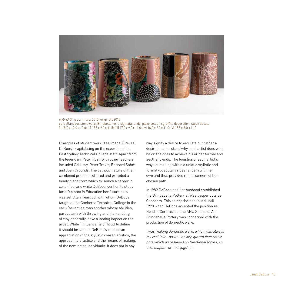

Hybrid Qing garniture, 2010 (original)/2015 porcellaneous stoneware, Ernabella terra sigillata, underglaze colour, sgraffito decoration, stock decals (i) 18.0 x 10.0 x 12.0; (ii) 17.5 x 9.0 x 11.5; (iii) 17.0 x 9.0 x 11.0; (iv) 18.0 x 9.0 x 11.0; (v) 17.5 x 8.0 x 11.0

Examples of student work (see Image 2) reveal DeBoos's capitalising on the expertise of the East Sydney Technical College staff. Apart from the legendary Peter Rushforth other teachers included Col Levy, Peter Travis, Bernard Sahm and Joan Grounds. The catholic nature of their combined practices offered and provided a heady place from which to launch a career in ceramics, and while DeBoos went on to study for a Diploma in Education her future path was set. Alan Peascod, with whom DeBoos taught at the Canberra Technical College in the early 'seventies, was another whose abilities, particularly with throwing and the handling of clay generally, have a lasting impact on the artist. While "influence" is difficult to define it should be seen in DeBoos's case as an appreciation of the stylistic characteristics, the approach to practice and the means of making, of the nominated individuals. It does not in any

way signify a desire to emulate but rather a desire to understand why each artist does what he or she does to achieve his or her formal and aesthetic ends. The logistics of each artist's ways of making within a unique stylistic and formal vocabulary rides tandem with her own and thus provides reinforcement of her chosen path.

In 1982 DeBoos and her husband established the Brindabella Pottery at Wee Jasper outside Canberra. This enterprise continued until 1998 when DeBoos accepted the position as Head of Ceramics at the ANU School of Art. Brindabella Pottery was concerned with the production of domestic ware.

I was making domestic ware, which was always my real love…as well as dry-glazed decorative pots which were based on functional forms, so 'like teapots' or 'like jugs'. (5).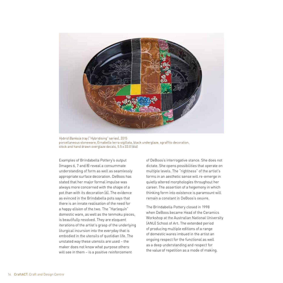

Hybrid Banksia tray ("Hybridising" series), 2015 porcellaneous stoneware, Ernabella terra sigillata, black underglaze, sgraffito decoration, stock and hand drawn overglaze decals, 5.5 x 33.0 (dia)

Examples of Brindabella Pottery's output (Images 6, 7 and 8) reveal a consummate understanding of form as well as seamlessly appropriate surface decoration. DeBoos has stated that her major formal impulse was always more concerned with the shape of a pot than with its decoration (6). The evidence as evinced in the Brindabella pots says that there is an innate realisation of the need for a happy elision of the two. The "Harlequin" domestic ware, as well as the tenmoku pieces, is beautifully resolved. They are eloquent iterations of the artist's grasp of the underlying liturgical incursion into the everyday that is embodied in the utensils of quotidian life. The unstated way these utensils are used – the maker does not know what purpose others will see in them – is a positive reinforcement

of DeBoos's interrogative stance. She does not dictate. She opens possibilities that operate on multiple levels. The "rightness" of the artist's forms in an aesthetic sense will re-emerge in quietly altered morphologies throughout her career. The assertion of a hegemony in which thinking form into existence is paramount will remain a constant in DeBoos's oeuvre.

The Brindabella Pottery closed in 1998 when DeBoos became Head of the Ceramics Workshop at the Australian National University (ANU) School of Art. The extended period of producing multiple editions of a range of domestic wares imbued in the artist an ongoing respect for the functional as well as a deep understanding and respect for the value of repetition as a mode of making.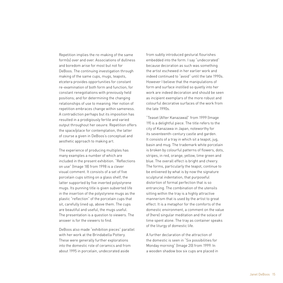Repetition implies the re-making of the same form(s) over and over. Associations of dullness and boredom arise for most but not for DeBoos. The continuing investigation through making of the same cups, mugs, teapots, etcetera provides opportunities for constant re-examination of both form and function; for constant renegotiations with previously held positions; and for determining the changing relationships of use to meaning. Her notion of repetition embraces change within sameness. A contradiction perhaps but its imposition has resulted in a prodigiously fertile and varied output throughout her oeuvre. Repetition offers the space/place for contemplation, the latter of course a given in DeBoos's conceptual and aesthetic approach to making art.

The experience of producing multiples has many examples a number of which are included in the present exhibition. "Reflections on use" (Image 18) from 1998 is a clever visual comment. It consists of a set of five porcelain cups sitting on a glass shelf, the latter supported by five inverted polystyrene mugs. Its punning title is given subverted life in the insertion of the polystyrene mugs as the plastic "reflection" of the porcelain cups that sit, carefully lined up, above them. The cups are beautiful and useful, the mugs useful. The presentation is a question to viewers. The answer is for the viewers to find.

DeBoos also made "exhibition pieces" parallel with her work at the Brindabella Pottery. These were generally further explorations into the domestic role of ceramics and from about 1995 in porcelain, undecorated aside

from subtly introduced gestural flourishes embedded into the form. I say "undecorated" because decoration as such was something the artist eschewed in her earlier work and indeed continued to "avoid" until the late 1990s. However I believe that the manipulations of form and surface instilled so quietly into her work are indeed decoration and should be seen as incipient exemplars of the more robust and colourful decorative surfaces of the work from the late 1990s.

"Teaset (After Kanazawa)" from 1999 (Image 19) is a delightful piece. The title refers to the city of Kanazawa in Japan, noteworthy for its seventeenth-century castle and garden. It consists of a tray in which sit a teapot, jug, basin and mug. The trademark white porcelain is broken by colourful patterns of flowers, dots, stripes, in red, orange, yellow, lime green and blue. The overall effect is bright and cheery. The forms, particularly the teapot, continue to be enlivened by what is by now the signature sculptural indentation, that purposeful distortion of formal perfection that is so entrancing. The combination of the utensils sitting within the tray is a highly attractive mannerism that is used by the artist to great effect. It is a metaphor for the comforts of the domestic environment, a comment on the value of (here) singular meditation and the solace of time spent alone. The tray as container speaks of the liturgy of domestic life.

A further declaration of the attraction of the domestic is seen in "Six possibilities for Monday morning" (Image 20) from 1999. In a wooden shadow box six cups are placed in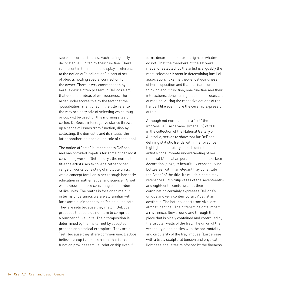separate compartments. Each is singularly decorated, all united by their function. There is inherent in the means of display a reference to the notion of "a collection", a sort of set of objects holding special connection for the owner. There is wry comment at play here (a device often present in DeBoos's art) that questions ideas of preciousness. The artist underscores this by the fact that the "possibilities" mentioned in the title refer to the very ordinary role of selecting which mug or cup will be used for this morning's tea or coffee. DeBoos's interrogative stance throws up a range of issues from function, display, collecting, the domestic and its rituals (the latter another instance of the role of repetition).

The notion of "sets" is important to DeBoos and has provided impetus for some of her most convincing works. "Set Theory", the nominal title the artist uses to cover a rather broad range of works consisting of multiple units, was a concept familiar to her through her early education in mathematics (and science). A "set" was a discrete piece consisting of a number of like units. The maths is foreign to me but in terms of ceramics we are all familiar with, for example, dinner sets, coffee sets, tea sets. They are sets because they match. DeBoos proposes that sets do not have to comprise a number of like units. Their composition is determined by the maker not by accepted practice or historical exemplars. They are a "set" because they share common use. DeBoos believes a cup is a cup is a cup, that is that function provides familial relationship even if

form, decoration, cultural origin, or whatever do not. That the members of the set were made (or selected) by the artist is arguably the most relevant element in determining familial association. I like the theoretical quirkiness of her proposition and that it arises from her thinking about function, non-function and their interactions, done during the actual processes of making, during the repetitive actions of the hands. I like even more the ceramic expression of this.

Although not nominated as a "set" the impressive "Large vase" (Image 22) of 2001 in the collection of the National Gallery of Australia, serves to show that for DeBoos defining stylistic trends within her practice highlights the fluidity of such definitions. The artist's consummate understanding of her material (Australian porcelain) and its surface decoration (glaze) is beautifully exposed. Nine bottles set within an elegant tray constitute the "vase" of the title. Its multiple parts may reference Dutch tulip vases of the seventeenthand eighteenth-centuries, but their combination certainly expresses DeBoos's unique and very contemporary Australian aesthetic. The bottles, apart from size, are almost identical. The different heights impart a rhythmical flow around and through the piece that is nicely contained and controlled by the circular walls of the tray. The union of the verticality of the bottles with the horizontality and circularity of the tray imbues "Large vase" with a lively sculptural tension and physical lightness, the latter reinforced by the fineness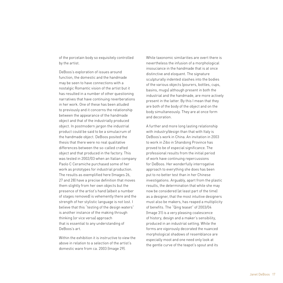of the porcelain body so exquisitely controlled by the artist.

DeBoos's exploration of issues around function, the domestic and the handmade may be seen to have connections with a nostalgic Romantic vision of the artist but it has resulted in a number of other questioning narratives that have continuing reverberations in her work. One of these has been alluded to previously and it concerns the relationship between the appearance of the handmade object and that of the industrially produced object. In postmodern jargon the industrial product could be said to be a simulacrum of the handmade object. DeBoos posited the thesis that there were no real qualitative differences between the so-called crafted object and that produced in the factory. This was tested in 2002/03 when an Italian company Paolo C Ceramiche purchased some of her work as prototypes for industrial production. The results as exemplified here (Images 26, 27 and 28) have a precise definition that moves them slightly from her own objects but the presence of the artist's hand (albeit a number of stages removed) is vehemently there and the strength of her stylistic language is not lost. I believe that this "testing of the design waters" is another instance of the making through thinking (or vice versa) approach that is essential to any understanding of DeBoos's art.

Within the exhibition it is instructive to view the above in relation to a selection of the artist's domestic ware from ca. 2003 (Image 29).

While taxonomic similarities are overt there is nevertheless the infusion of a morphological insouciance in the handmade that is at once distinctive and eloquent. The signature sculpturally indented slashes into the bodies of the various objects (pourers, bottles, cups, basins, mugs) although present in both the industrial and the handmade, are more actively present in the latter. By this I mean that they are both of the body of the object and on the body simultaneously. They are at once form and decoration.

A further and more long lasting relationship with industry/design than that with Italy is DeBoos's work in China. An invitation in 2003 to work in Zibo in Shandong Province has proved to be of especial significance. The professional results from the initial period of work have continuing repercussions for DeBoos. Her wonderfully interrogative approach to everything she does has been put to no better test than in her Chinese investigations. Arguably, apart from the plastic results, the determination that while she may now be considered (at least part of the time) as a designer, that the most intuitive designers must also be makers, has reaped a multiplicity of benefits. The "Qing teaset" of 2003/04 (Image 31) is a very pleasing coalescence of history, design and a maker's sensibility, produced in an industrial setting. While the forms are vigorously decorated the nuanced morphological shadows of resemblance are especially moot and one need only look at the gentle curve of the teapot's spout and its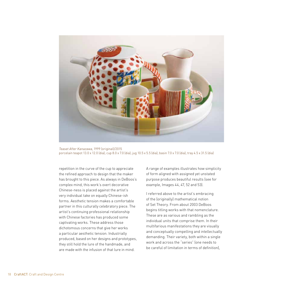

Teaset After Kanazawa, 1999 (original)/2015 porcelain teapot 13.0 x 12.0 (dia); cup 8.0 x 7.0 (dia); jug 10.5 x 5.5 (dia); basin 7.0 x 7.0 (dia); tray 4.5 x 31.5 (dia)

repetition in the curve of the cup to appreciate the refined approach to design that the maker has brought to this piece. As always in DeBoos's complex mind, this work's overt decorative Chinese-ness is placed against the artist's very individual take on equally Chinese-ish forms. Aesthetic tension makes a comfortable partner in this culturally celebratory piece. The artist's continuing professional relationship with Chinese factories has produced some captivating works. These address those dichotomous concerns that give her works a particular aesthetic tension. Industrially produced, based on her designs and prototypes, they still hold the lure of the handmade, and are made with the infusion of that lure in mind.

A range of examples illustrates how simplicity of form aligned with assigned yet unstated purpose produces beautiful results (see for example, Images 44, 47, 52 and 53).

I referred above to the artist's embracing of the (originally) mathematical notion of Set Theory. From about 2003 DeBoos begins titling works with that nomenclature. These are as various and rambling as the individual units that comprise them. In their multifarious manifestations they are visually and conceptually compelling and intellectually demanding. Their variety, both within a single work and across the "series" (one needs to be careful of limitation in terms of definition),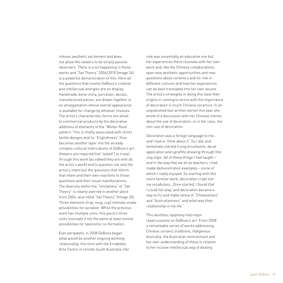imbues aesthetic excitement and does not allow the viewers to be simply passive observers. There is a lot happening in these works and "Set Theory" 2004/2010 (Image 34) is a powerful demonstration of this. Here all the questions that involve DeBoos's creative and intellectual energies are on display. Handmade, bone china, porcelain, decals, manufactured pieces, are drawn together in an amalgamation whose overall appearance is available for change by whoever chooses. The artist's characteristic forms are allied to commercial products by the decorative additions of elements of the "Winter Rose" pattern. This is chiefly associated with chintz textile designs and its "Englishness" thus becomes another layer into the already complex cultural imbrications of DeBoos's art. Viewers are required (not "asked") to travel through this work (as indeed they are with all the artist's work) and to question not only the artist's intent but the questions that inform that intent and their own reactions to those questions and their visual manifestations. The diversity within the "limitations" of "Set Theory" is clearly averred in another piece from 2004, also titled "Set Theory" (Image 35). Three elements (tray, mug, cup) intimate innate possibilities for variation. While the previous work has multiple units, this piece's three units insinuate if not the same at least similar possibilities for taxonomic re-formation.

Ever peripatetic in 2008 DeBoos began what would be another ongoing working relationship, this time with the Ernabella Arts Centre in remote South Australia. Her role was essentially an educative one but her experiences there resonate with her own work and, like the Chinese collaborations, open new aesthetic opportunities and new questions about ceramics and its role in different cultures and how her experiences can be best translated into her own oeuvre. The artist's strategies in doing this have their origins in coming to terms with the importance of decoration in much Chinese ceramics. In an unpublished text written earlier this year she wrote of a discussion with her Chinese mentor about the use of decoration, or in her case, the non-use of decoration:

Decoration was a foreign language to me… and I had to 'think about it" So I did, and tentatively started trying brushwork, decal application and sgraffito drawing through fine clay slips. All of these things I had taught – and in the way that we do as teachers, I had made demonstration examples – some of which I really enjoyed. So starting with this more familiar work, decoration crept into my vocabulary…Once started, I found that I could not stop, and decoration became a way to try and make sense of "Chineseness" and "Australianness" and what was their relationship in my life."

This aesthetic epiphany had major repercussions on DeBoos's art. From 2008 a remarkable series of works addressing Chinese ceramic traditions, Indigenous Australia, the Australian environment and her own understanding of these in relation to her incisive intellectual way of dealing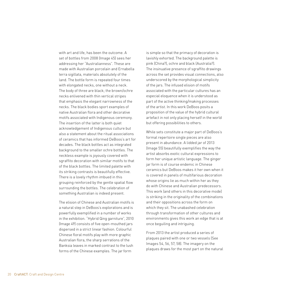with art and life, has been the outcome. A set of bottles from 2008 (Image 45) sees her addressing her "Australianness". These are made with Australian porcelain and Ernabella terra sigillata, materials absolutely of the land. The bottle form is repeated four times with elongated necks, one without a neck. The body of three are black; the brown/ochre necks enlivened with thin vertical stripes that emphasis the elegant narrowness of the necks. The black bodies sport examples of native Australian flora and other decorative motifs associated with Indigenous ceremony. The insertion of the latter is both quiet acknowledgement of Indigenous culture but also a statement about the ritual associations of ceramics that has informed DeBoos's art for decades. The black bottles act as integrated background to the smaller ochre bottles. The neckless example is joyously covered with sgraffito decoration with similar motifs to that of the black bottles. The limited palette with its striking contrasts is beautifully effective. There is a lovely rhythm imbued in this grouping reinforced by the gentle spatial flow surrounding the bottles. The celebration of something Australian is indeed present.

The elision of Chinese and Australian motifs is a natural step in DeBoos's explorations and is powerfully exemplified in a number of works in the exhibition. "Hybrid Qing garniture", 2010 (Image 49) consists of five open-mouthed jars dispersed in a strict linear fashion. Colourful Chinese floral motifs play with more graphic Australian flora, the sharp serrations of the Banksia leaves in marked contrast to the lush forms of the Chinese examples. The jar form

is simple so that the primacy of decoration is lavishly exhorted. The background palette is pink (China?), ochre and black (Australia?). The insinuative presence of sgraffito drawings across the set provides visual connections, also underscored by the morphological simplicity of the jars. The infused elision of motifs associated with the particular cultures has an especial eloquence when it is understood as part of the active thinking/making processes of the artist. In this work DeBoos posits a proposition of the value of the hybrid cultural artefact in not only placing herself in the world but offering possibilities to others.

While sets constitute a major part of DeBoos's formal repertoire single pieces are also present in abundance. A lidded jar of 2013 (Image 55) beautifully exemplifies the way the artist absorbs exotic cultural expressions to form her unique artistic language. The ginger jar form is of course endemic in Chinese ceramics but DeBoos makes it her own when it is covered in panels of multifarious decoration whose origins lie as much within her as they do with Chinese and Australian predecessors. This work (and others in this decorative mode) is striking in the originality of the combinations and their oppositions across the form on which they sit. The unabashed celebration through transformation of other cultures and environments gives this work an edge that is at once beguiling and intriguing.

From 2013 the artist produced a series of plaques paired with one or two vessels (See Images 54, 56, 57, 58). The imagery on the plaques draws for the most part on the natural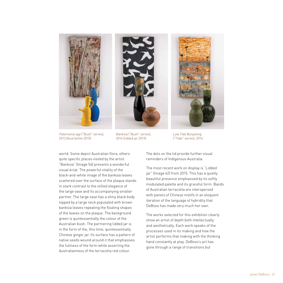

Patersonia spp ("Bush" series), 2013 (blue bottle 2015)

Banksia ("Bush" series), 2014 (lidded jar 2013)

Low Tide Bunjalong ("Tidal" series), 2014

world. Some depict Australian flora, others quite specific places visited by the artist. "Banksia" (Image 56) presents a wonderful visual éclat. The powerful vitality of the black-and-white image of the banksia leaves scattered over the surface of the plaque stands in stark contrast to the stilled elegance of the large vase and its accompanying smaller partner. The large vase has a shiny black body topped by a large neck populated with brown banksia leaves repeating the floating shapes of the leaves on the plaque. The background green is quintessentially the colour of the Australian bush. The partnering lidded jar is in the form of the, this time, quintessentially Chinese ginger jar. Its surface has a pattern of native seeds wound around it that emphasises the fullness of the form while asserting the Australianness of the terracotta red colour.

The dots on the lid provide further visual reminders of Indigenous Australia.

The most recent work on display is "Lidded jar" (Image 62) from 2015. This has a quietly beautiful presence emphasised by its softly modulated palette and its graceful form. Bands of Australian terracotta are interspersed with panels of Chinese motifs in an eloquent iteration of the language of hybridity that DeBoos has made very much her own.

The works selected for this exhibition clearly show an artist of depth both intellectually and aesthetically. Each work speaks of the processes used in its making and how the artist performs that making with the thinking hand constantly at play. DeBoos's art has gone through a range of transitions but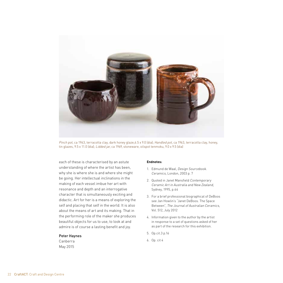

Pinch pot, ca 1963, terracotta clay, dark honey glaze,6.5 x 9.0 (dia); Handled pot, ca 1963, terracotta clay, honey, tin glazes, 9.5 x 11.0 (dia); Lidded jar, ca 1969, stoneware, oilspot tenmoku, 9.0 x 9.5 (dia)

each of these is characterised by an astute understanding of where the artist has been, why she is where she is and where she might be going. Her intellectual inclinations in the making of each vessel imbue her art with resonance and depth and an interrogative character that is simultaneously exciting and didactic. Art for her is a means of exploring the self and placing that self in the world. It is also about the means of art and its making. That in the performing role of the maker she produces beautiful objects for us to use, to look at and admire is of course a lasting benefit and joy.

### Peter Haynes

Canberra May 2015

### **Endnotes:**

- 1. Edmund de Waal, Design Sourcebook. Ceramics, London, 2003 p. 7
- 2. Quoted in Janet Mansfield Contemporary Ceramic Art in Australia and New Zealand, Sydney, 1995, p.44
- 3. For a brief professional biographical of DeBoos see Jan Howlin's "Janet DeBoos. The Space Between", The Journal of Australian Ceramics, Vol. 512, July 2012
- 4. Information given to the author by the artist in response to a set of questions asked of her as part of the research for this exhibition.
- 5. Op.cit.3 p.16
- 6. Op. cit 4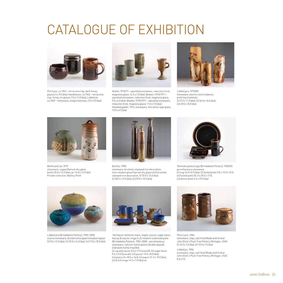# Catalogue of exhibition



Pinch pot, ca 1963 – terracotta clay, dark honey glaze,6.5 x 9.0 (dia); Handled pot, ca 1963 – terracotta clay, honey, tin glazes, 9.5 x 11.0 (dia); Lidded jar, ca 1969 – stoneware, oilspot tenmoku, 9.0 x 9.5 (dia)



Goblet, 1970/71 – speckled stoneware, reduction fired, magnesia glaze, 14.5 x 7.5 (dia); Beaker, 1970/1971 – speckled stoneware, reduction fired, magnesia glaze, 9.5 x 4.0 (dia); Beaker, 1970/1971 – speckled stoneware, reduction fired, magnesia glaze, 11.0 x 7.0 (dia); Handled goblet, 1973, stoneware, thin shino-type glaze, 13.0 x 6.5 (dia)



Lidded jars, 1979/80 Stoneware, electric kiln/ oxidation, prefiring treatment, (i) 27.0 x 11.5 (dia); (ii) 36.0 x 15.0 (dia); (iii) 49.0 x 13.0 (dia)



Bottle and Jar, 1979 stoneware, copper/barium dry glaze bottle 25.0 x 12.5 (dia); jar 14.0 x 14.0 (dia) Private collection: Battery Point



Bottles, 1980 stoneware, brushed, stamped iron decoration, olive celadon glaze/ barium dry glaze with brushed, stamped iron decoration, (i) 70.0 x 13.5 (dia); (ii) 38.0 x 13.0 (dia); (iii) 59.0 x 10.5 (dia)



Tenmoku plates/ jugs (Brindabella Pottery), 1982/83 porcellaneous stoneware (i) mug 14.0 x 8.5 (dia); (ii) footed plate 3.0 x 13.0 x 13.0; (iii) footed plate 35. 0 x 20.0 x 17.0; (iv) dinner plate 2.5 x 29.5 (dia)



Lidded jars (Brindabella Pottery), 1982–2000 coarse stoneware, dry barium/copper/vanadium glaze (i) 9.0 x 13.5 (dia); (ii) 10.0 x 14.0 (dia); (iii) 17.0 x 18.0 (dia)



'Harlequin' domestic ware: teapot, pourer, sugar basin, teacup & saucer, mugs (x 2), medium sized slab plate (Brindabella Pottery), 1982–2000 – porcellaneous stoneware, calcium matte glazes (double dipped), slab plate hump moulded. (i) cup and saucer 8.5 x 17.5 (overall); (ii) sugar basin 9.5 x 12.0 (overall); (iii) pourer 13.5 x 8.0 (dia); (iv) plate 4.0 x 20.5 x 16.0; (v) teapot 12 .0 x 19.0 (dia); (vi) & (vii) mugs 14.5 x 7.5 (dia) ea.



Pencil jars, 1986 stoneware, slips, salt fired (Made and fired at John Glick's Plum Tree Pottery, Michigan, USA) (i) 12.0 x 7.5 (dia); (ii) 13.0 x 7.5 (dia)

Lidded jar, 1986

stoneware, slips, salt fired (Made and fired at John Glick's Plum Tree Pottery, Michigan, USA) 8.0 x 9.0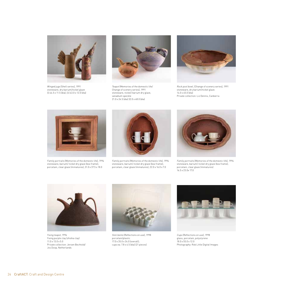

Winged jugs (Shell series), 1991 stoneware, dry barium/nickel glaze (i) 44.5 x 11.5 (dia); (ii) 43.0 x 12.0 (dia)



Teapot (Memories of the domestic life/ Change of scenery series), 1991 stoneware, nickel/ barium dry glaze, vanadium speckle 21.0 x 24.5 (dia) 32.0 x 48.0 (dia)



Rock pool bowl, (Change of scenery series), 1991 stoneware, dry barium/nickel glaze. 14.0 x 45.0 (dia) Private collection: Liz Dennis, Canberra



Family portraits (Memories of the domestic life), 1994 stoneware, barium/ nickel dry glaze (box frame); porcelain, clear glaze (miniatures), 31.0 x 37.5 x 18.0



Family portraits (Memories of the domestic life), 1994 stoneware, barium/ nickel dry glaze (box frame); porcelain, clear glaze (miniatures), 22.0 x 16.0 x 7.0



Family portraits (Memories of the domestic life), 1994 stoneware, barium/ nickel dry glaze (box frame); porcelain, clear glaze (miniatures) 16.5 x 23.0x 17.0



Yixing teapot, 1996 Yixing purple clay (zhisha clay) 11.0 x 13.0 x 5.0 Private collection: Jeroen Bechtold/ Jos Doop, Netherlands



Stoli bento (Reflections on use), 1998 porcelain/plastic 17.0 x 35.0 x 24.0 (overall); cups ea. 7.8 x 4.5 (dia) (21 pieces)



Cups (Reflections on use), 1998 glass, porcelain, polystyrene 18.0 x 55.0 x 12.0 Photography: Rob Little Digital Images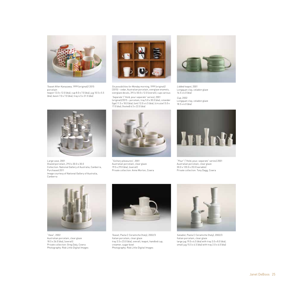

Teaset After Kanazawa, 1999 (original)/ 2015 porcelain teapot 13.0 x 12.0 (dia); cup 8.0 x 7.0 (dia); jug 10.5 x 5.5 (dia); basin 7.0 x 7.0 (dia); tray 4.5 x 31.5 (dia)



Six possibilities for Monday morning, 1999 (original)/ (2015) – cedar, Australian porcelain, overglaze enamels, overglaze decals, 39.5 x 50.0 x 12.0 (overall); cups various

'Separate' ("Hold, pour separate" series), 2001 (original)/2015 – porcelain, tray 5.0 x 30.0 (dia); colander (lge) 11.5 x 18.0 (dia); (sm) 12.0 x 4.5 (dia); (circular) 5.0 x 17.0 (dia); (footed) 6.5 x 22.0 (dia)



Lidded teapot, 2001 Longquan clay, celadon glaze 16.5 x 6.0 (dia)

Cup, 2002 Longquan clay, celadon glaze 18.5 x 6.0 (dia)



Large vase, 2001 Glazed porcelain, 29.0 x 30.0 x 30.0 Collection: National Gallery of Australia, Canberra, Purchased 2011 Image courtesy of National Gallery of Australia, Canberra



"Solitary pleasures", 2001 Australian porcelain, clear glaze 19.5 x 29.0 (dia), (overall) Private collection: Anne Morton, Cowra



"Pour" ("Hold, pour, separate" series) 2001 Australian porcelain, clear glaze 30.0 x 120.0 x 20.0 (variable) Private collection: Tony Dagg, Cowra



"Vase", 2002 Australian porcelain, clear glaze 18.5 x 26.0 (dia), (overall) Private collection: Greg Daly, Cowra Photography: Rob Little Digital Images



Teaset, Paola C Ceramiche (Italy), 2002/3 Italian porcelain, clear glaze tray 3.5 x 23.0 (dia), overall; teapot, handled cup, creamer, sugar bowl Photography: Rob Little Digital Images



Saladier, Paola C Ceramiche (Italy), 2002/3 Italian porcelain, clear glaze large jug 19.0 x 6.5 (dia) with tray 3.0 x 8.0 (dia); small jug 15.5 x 4.5 (dia) with tray 2.0 x 6.0 (dia)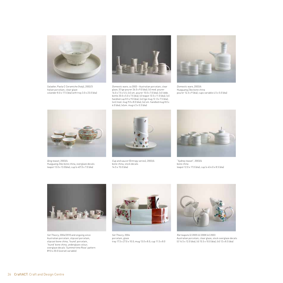

Saladier, Paola C Ceramiche (Italy), 2002/3 Italian porcelain, clear glaze colander 8.0 x 17.5 (dia) with tray 3.0 x 23.0 (dia)



Domestic ware, ca 2003 – Australian porcelain, clear glaze, (I) lge pourer 26.0 x 9.0 (dia); (ii) med. pourer 16.0 x 7.5 x 5.5; (iii) sm. pourer 10.0 x 7.0 (dia); (iv) lidde. bottle 20.0 x 5.0 x 7.5 (dia); (v) teapot 13.5 x 11.0 (dia); (vi) handled cup 8.5 x 9.0 (dia); (vii) lge mug 12. 0 x 7.5 (dia); (viii) med. mug 9.0 x 8.0 (dia); (ix) sm. handled mug 8.0 x 6.0 (dia); (x)sm. mug 4.5 x 5.5 (dia)



Domestic ware, 2003/4 Huaguang Zibo bone china pourer 14.5 x 9 (dia); cups variable 4.5 x 5.0 (dia)



Qing teaset, 2003/4 Huaguang Zibo bone china, overglaze decals teapot 13.0 x 13.0(dia); cup (x 4)7.0 x 7.0 (dia)



Cup and saucer (Entropy series), 2003/4 bone china, stock decals 14.5 x 15.0 (dia)



"Sydney teaset", 2003/4 bone china teapot 12.0 x 17.0 (dia); cup (x 4) 6.0 x 8.5 (dia)



Set Theory, 2004/2010 and ongoing since Australian porcelain, slipcast porcelain, slipcast bone china, 'found' porcelain, 'found' bone china, underglaze colour, overglaze decals 'Summertime Rose' pattern 89.0 x 20.0 (overall variable)



Set Theory, 2004 porcelain, glaze tray 17.5 x 27.0 x 10.0; mug 13.0 x 8.0; cup 11.5 x 8.0



Rat teapots (i) 2005 (ii) 2008 (iii) 2003 Australian porcelain, clear glaze, stock overglaze decals (i) 14.5 x 12.0 (dia); (ii) 15.5 x 10.0 (dia); (iii) 12 x 8.5 (dia)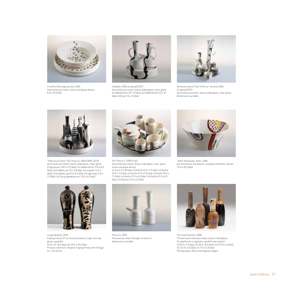

Fruitière (Entropy series), 2005 Australian porcelain, stock overglaze decals 8.0 x 29.0 (dia)



Saladier, 2006 (original)/2015 Australian porcelain, black underglaze, clear glaze (i) lidded bottle 25 x 10 (dia); (ii) lidded bottle 22 x 10 (dia); (iii)tray 5.5 x 23 (dia)



Domestic ware ("Out of Africa" series), 2006 (original)/2015 Australian porcelain, black underglaze, clear glaze dimensions variable



"Ridiculous Vase" (Set Theory), 2006 (2009, 2015) Australian porcelain, black underglaze, clear glaze (i) lge pourer 38.0 x 9.5 (dia); (ii) lidded bottle 19.0 x 8.0 9dia); (iii) lidded cup 7.0 x 9.0 (dia); (iv) mug 8.5 x 4.5 (dia); (v) handled cup 8.5 x 8.5 (dia); (vi) lge mug 12.0 x 7.0 (dia); (vii) larg lipped pourer 10.0 x 6.0 (dia)



Set Theory 2, 2006 (tray) Australian porcelain, black underglaze, clear glaze, stock overglaze decals

(i) tray 5.5 x 38 (dia); (ii) bottle 35.0 x 7.5 (dia); (iii) bottle 35.0 x 7.5 (dia); (iv) bottle 31.0 x 9.0 (dia); (v) bottle 30.5 x 7.5 (dia); (vi) bottle 27.0 x 6.5 (dia); (vii) bottle 25.5 x 8.5 (dia); (viii) bottle 21.0 x 5.0 (dia)



"After Kanazawa" bowl, 2006 porcellaneous stoneware, overglaze enamels, decals 13.0 x 30.0 (dia)



Large Bottles, 2006 Fuping Cizhou (T'zu chou) stoneware, high iron slip glaze, sgraffito (i) 45 .0 x 18.0 (dia); (ii) 45.0 x 18.0 (dia) Private collection: Shaanxi Fuping Pottery Art Village Co. Ltd, China



Pourers, 2007, Chinese porcelain (Songfa ceramics) dimensions variable



Porcelain bottles, 2008 Thrown Australian porcelain, black underglaze, Ernabella terra sigillata, sgraffito decoration. (i) 30.0 x 7.5 (dia); (ii) 28.5 x 8.0 (dia); (iii) 27.0 x 6.5 (dia); (iv) 22.0 x 6.0 (dia); (v) 17.5 x 6.5 (dia) Photography: Rob Little Digital Images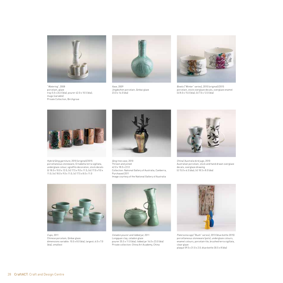

"Watering", 2008 porcelain, glaze tray 5.0 x 26.0 (dia); pourer 42.0 x 10.5 (dia); mugs (variable) Private Collection, Birchgrove



Vase, 2009 Jingdezhen porcelain, Qinbai glaze 23.0 x 14.0 (dia)



Bowls ("Winter" series), 2010 (original)/2015 porcelain, stock overglaze decals, overglaze enamel (ii) 8.0 x 15.0 (dia); (ii) 7.0 x 12.0 (dia)



Hybrid Qing garniture, 2010 (original)/2015 porcellaneous stoneware, Ernabella terra sigillata, underglaze colour, sgraffito decoration, stock decals (i) 18.0 x 10.0 x 12.0; (ii) 17.5 x 9.0 x 11.5; (iii) 17.0 x 9.0 x 11.0; (iv) 18.0 x 9.0 x 11.0; (v) 17.5 x 8.0 x 11.0



Qing tree vase, 2010 Thrown and joined 42.0 x 18.0 x 22.0 Collection: National Gallery of Australia, Canberra, Purchased 2011 Image courtesy of the National Gallery of Australia



China/ Australia bird jugs, 2010 Australian porcelain, stock and hand drawn overglaze decals, overglaze drawing (i) 15.0 x 6.5 (dia); (ii) 18.5 x 8.0 (dia)



Cups, 2011 Chinese porcelain, Qinbai glaze dimensions variable: 10.0 x 8.0 (dia), largest; 6.0 x 7.0 (dia), smallest



Celadon pourer and lidded jar, 2011 Longquan clay, celadon glaze pourer 35.5 x 11.0 (dia); lidded jar 16.0 x 23.0 (dia) Private collection: China Art Academy, China



Patersonia spp ("Bush" series), 2013 (blue bottle 2015) porcellaneous stoneware (pots), underglaze colours, enamel colours, porcelain tile, brushed terra sigillata, clear glaze plaque 59.5 x 31.0 x 2.0; blue bottle 30.5 x 8 (dia)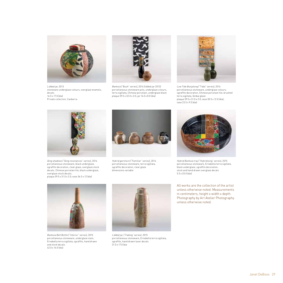

Lidded jar, 2013 stoneware underglaze colours, overglaze enamels, decals 16.5 x 17.0 (dia) Private collection, Canberra



Banksia ("Bush" series), 2014 (lidded jar 2013) porcellaneous stoneware pots, underglaze colours, terra sigillata, Chinese porcelain, underglaze black plaque 59.5 x 32.0 x 2.0; jar 16.0 x 8.0 (dia)



Low Tide Bunjalong ("Tidal" series), 2014 porcellaneous stoneware, underglaze colours, sgraffito decoration, Chinese porcelain tile, brushed terra sigillata, Qinbai glaze plaque 59.5 x 31.0 x 2.0; vase 30.5 x 12.0 (dia); vase 23.5 x 9.5 (dia)



Qing shadows ("Qing resonances" series), 2014 porcellaneous stoneware, black underglaze, sgraffito decoration, clear glaze, overglaze stock decals. Chinese porcelain tile, black underglaze, overglaze stock decals. plaque 59.5 x 31.0 x 2.0; vase 36.5 x 12 (dia)



Hybrid garniture ("Familiar" series), 2014 porcellaneous stoneware, terra sigillata, sgraffito decoration, clear glaze dimensions variable



Hybrid Banksia tray ("Hybridising" series), 2015 porcellaneous stoneware, Ernabella terra sigillata, black underglaze, sgraffito decoration, stock and hand drawn overglaze decals 5.5 x 33.0 (dia)



Banksia Bell Bottle ("Interior" series), 2015 porcellaneous stoneware, underglaze stain, Ernabella terra sigillata, sgraffito, hand drawn and stock decals 42.0 x 16.0 (dia)



Lidded jar, ("Fading" series), 2015 porcellaneous stoneware, Ernabella terra sigillata, sgraffito, hand drawn laser decals 31.0 x 17.0 (dia

All works are the collection of the artist unless otherwise noted. Measurements in centimeters, height x width x depth. Photography by Art Atelier Photography unless otherwise noted.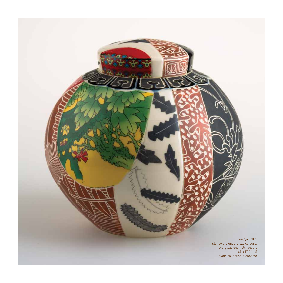Lidded jar, 2013 stoneware underglaze colours, overglaze enamels, decals 16.5 x 17.0 (dia) Private collection, Canberra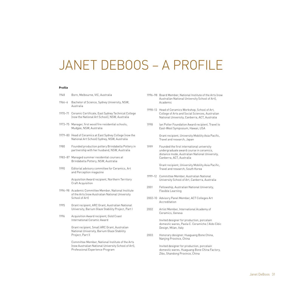## Janet DeBoos – A profile

#### **Profile**

- 1948 Born, Melbourne, VIC, Australia
- 1966–6 Bachelor of Science, Sydney University, NSW, Australia
- 1970–71 Ceramic Certificate, East Sydney Technical College (now the National Art School), NSW, Australia
- 1973–75 Manager, first wood fire residential schools, Mudgee, NSW, Australia
- 1979–80 Head of Ceramics at East Sydney College (now the National Art School) Sydney, NSW, Australia
- 1980 Founded production pottery Brindabella Pottery in partnership with her husband, NSW, Australia
- 1983–87 Managed summer residential courses at Brindabella Pottery, NSW, Australia
- 1990 Editorial advisory committee for Ceramics, Art and Perception magazine

 Acquisition Award recipient, Northern Territory Craft Acquisition

- 1994–98 Academic Committee Member, National Institute of the Arts (now Australian National University School of Art)
- 1995 Grant recipient, ARC Grant, Australian National University, Barium Glaze Stability Project, Part I
- 1996 Acquisition Award recipient, Gold Coast International Ceramic Award

 Grant recipient, Small ARC Grant, Australian National University, Barium Glaze Stability Project, Part II

 Committee Member, National Institute of the Arts (now Australian National University School of Art), Professional Experience Program

- 1996–98 Board Member, National Institute of the Arts (now Australian National University School of Art), Academic
- 1998–13 Head of Ceramics Workshop, School of Art, College of Arts and Social Sciences, Australian National University, Canberra, ACT, Australia
- 1998 Ian Potter Foundation Award recipient, Travel to East-West Symposium, Hawaii, USA

 Grant recipient, University Mobility Asia Pacific, Travel and research, Japan

1999 Founded the first international university undergraduate award course in ceramics, distance mode, Australian National University, Canberra, ACT, Australia

> Grant recipient, University Mobility Asia Pacific, Travel and research, South Korea

- 1999–12 Committee Member, Australian National University School of Art, Canberra, Australia
- 2001 Fellowship, Australian National University, Flexible Learning
- 2002–10 Advisory Panel Member, ACT Colleges Art Accreditation
- 2002 Artist Member, International Academy of Ceramics, Geneva

 Invited designer for production, porcelain domestic wares, Paola C. Ceramiche / Aldo Cibic Design, Milan, Italy

2003 Honorary designer, Huaguang Bone China, Nanjing Province, China

> Invited designer for production, porcelain domestic wares, Huaguang Bone China Factory, Zibo, Shandong Province, China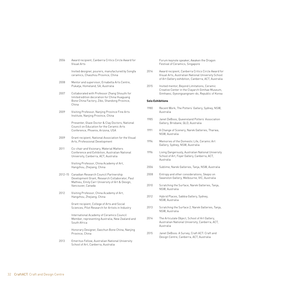2006 Award recipient, Canberra Critics Circle Award for Visual Arts

> Invited designer, pourers, manufactured by Songfa ceramics, Chaozhou Province, China

- 2008 Mentor and supervisor, Ernabella Arts Centre Pukatja, Homeland, SA, Australia
- 2007 Collaborated with Professor Zhang Shouzhi for limited edition decoration for China Huaguang Bone China Factory, Zibo, Shandong Province, China
- 2009 Visiting Professor, Nanjing Province Fine Arts Institute, Nanjing Province, China

 Presenter, Glaze Doctor & Clay Doctors, National Council on Education for the Ceramic Arts Conference, Phoenix, Arizona, USA

- 2009 Grant recipient, National Association for the Visual Arts, Professional Development
- 2011 Co-chair and Visionary, Material Matters Conference and Exhibition, Australian National University, Canberra, ACT, Australia

 Visiting Professor, China Academy of Art, Hangzhou, Zhejiang, China

- 2012–15 Canadian Research Council Partnership Development Grant, Research Collaborator, Paul Mathieu, Emily Carr University of Art & Design, Vancouver, Canada
- 2012 Visiting Professor, China Academy of Art, Hangzhou, Zhejiang, China

 Grant recipient, College of Arts and Social Sciences, Pilot Research for Artists in Industry

 International Academy of Ceramics Council Member, representing Australia, New Zealand and South Africa

 Honorary Designer, Gaochun Bone China, Nanjing Province, China

2013 Emeritus Fellow, Australian National University School of Art, Canberra, Australia

 Forum keynote speaker, Awaken the Dragon Festival of Ceramics, Singapore

- 2014 Award recipient, Canberra Critics Circle Award for Visual Arts, Australian National University School of Art Gallery exhibition, Canberra, ACT, Australia
- 2015 Invited mentor, Beyond Limitations, Ceramic Creative Center in the Clayarch Gimhae Museum, Gimhaesi, Gyeongsangnam-do, Republic of Korea

#### **Solo Exhibitions**

- 1980 Recent Work, The Potters' Gallery, Sydney, NSW, Australia
- 1985 Janet DeBoos, Queensland Potters' Association Gallery, Brisbane, QLD, Australia
- 1991 A Change of Scenery, Narek Galleries, Tharwa, NSW, Australia
- 1994 Memories of the Domestic Life, Ceramic Art Gallery, Sydney, NSW, Australia
- 1996 Living Dangerously, Australian National University School of Art, Foyer Gallery, Canberra, ACT, Australia
- 2006 Sublime, Narek Galleries, Tanja, NSW, Australia
- 2008 Entropy and other considerations, Skepsi on Swanston Gallery, Melbourne, VIC, Australia
- 2010 Scratching the Surface, Narek Galleries, Tanja, NSW, Australia
- 2012 Hybrid Places, Sabbia Gallery, Sydney, NSW, Australia
- 2013 Scratching the Surface 2, Narek Galleries, Tanja, NSW, Australia
- 2014 The Articulate Object, School of Art Gallery, Australian National University, Canberra, ACT, Australia
- 2015 Janet DeBoos: A Survey, Craft ACT: Craft and Design Centre, Canberra, ACT, Australia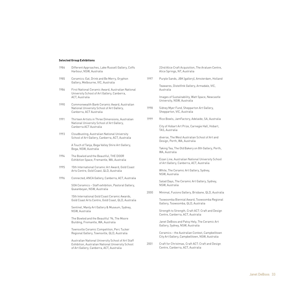#### **Selected Group Exhibitions**

- 1984 Different Approaches, Lake Russell Gallery, Coffs Harbour, NSW, Australia
- 1985 Ceramics: Eat, Drink and Be Merry, Gryphon Gallery, Melbourne, VIC, Australia
- 1986 First National Ceramic Award, Australian National University School of Art Gallery, Canberra, ACT, Australia
- 1990 Commonwealth Bank Ceramic Award, Australian National University School of Art Gallery, Canberra, ACT Australia
- 1991 Thirteen Artists in Three Dimensions, Australian National University School of Art Gallery, Canberra ACT Australia
- 1993 Cloudbusting, Australian National University School of Art Gallery, Canberra, ACT, Australia

 A Touch of Tanja, Bega Valley Shire Art Gallery, Bega, NSW, Australia

- 1994 The Bowled and the Beautiful, THE DOOR Exhibition Space, Fremantle, WA, Australia
- 1995 15th International Ceramic Art Award, Gold Coast Arts Centre, Gold Coast, QLD, Australia
- 1996 Connected, ANCA Gallery, Canberra, ACT, Australia

 SOA Ceramics – Staff exhibition, Pastoral Gallery, Queanbeyan, NSW, Australia

 15th International Gold Coast Ceramic Awards, Gold Coast Arts Centre, Gold Coast, QLD, Australia

 Sentinel, Manly Art Gallery & Museum, Sydney, NSW, Australia

 The Bowled and the Beautiful '96, The Moore Building, Fremantle, WA, Australia

 Townsville Ceramic Competition, Perc Tucker Regional Gallery, Townsville, QLD, Australia

 Australian National University School of Art Staff Exhibition, Australian National University School of Art Gallery, Canberra, ACT, Australia

 22nd Alice Craft Acquisition, The Araluen Centre, Alice Springs, NT, Australia

1997 Purple Sands, JBK (gallery), Amsterdam, Holland

 Teawares, Distelfink Gallery, Armadale, VIC, Australia

 Images of Sustainability, Watt Space, Newcastle University, NSW, Australia

- 1998 Sidney Myer Fund, Shepparton Art Gallery, Shepparton, VIC, Australia
- 1999 Rice Bowls, JamFactory, Adelaide, SA, Australia

 City of Hobart Art Prize, Carnegie Hall, Hobart, TAS, Australia

 diverse, The West Australian School of Art and Design, Perth, WA, Australia

 Taking Tea, The Old Bakery on 8th Gallery, Perth, WA, Australia

 Eizan Line, Australian National University School of Art Gallery, Canberra, ACT, Australia

 White, The Ceramic Art Gallery, Sydney, NSW, Australia

 Salad Days, The Ceramic Art Gallery, Sydney, NSW, Australia

2000 Minimal, Fusions Gallery, Brisbane, QLD, Australia

 Toowoomba Biennial Award, Toowoomba Regional Gallery, Toowoomba, QLD, Australia

 Strength to Strength, Craft ACT: Craft and Design Centre, Canberra, ACT, Australia

 Janet DeBoos and Patsy Hely, The Ceramic Art Gallery, Sydney, NSW, Australia

 Ceramics – the Australian Context, Campbelltown City Art Gallery, Campbelltown, NSW, Australia

2001 Craft for Christmas, Craft ACT: Craft and Design Centre, Canberra, ACT, Australia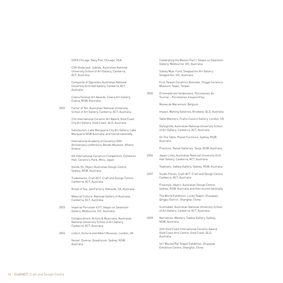SOFA Chicago, Navy Pier, Chicago, USA

 CSA Showcase: Jubilee, Australian National University School of Art Gallery, Canberra, ACT, Australia

Composite of Opposites, Australian National University Drill Hall Gallery, Canberra, ACT, Australia

 Cowra Festival Art Awards, Cowra Art Gallery, Cowra, NSW, Australia

2002 Factor of Ten, Australian National University School of Art Gallery, Canberra, ACT, Australia

> 21st International Ceramic Art Award, Gold Coast City Art Gallery, Gold Coast, QLD, Australia

 Satisfaction, Lake Macquarie City Art Gallery, Lake Macquarie NSW Australia, and toured nationally

 International Academy of Ceramics 50th Anniversary conference, Benaki Museum, Athens, Greece

 6th International Ceramics Competition, Exhibition Hall, Ceramics Park, Mino, Japan

 Hands On, Object Australian Design Centre, Sydney, NSW, Australia

 Trademarks, Craft ACT: Craft and Design Centre, Canberra, ACT, Australia

Ritual of Tea, JamFactory, Adelaide, SA, Australia

 Material Culture, National Gallery of Australia, Canberra, ACT, Australia

2003 Imperial Porcelain 4317, Skepsi on Swanston Gallery, Melbourne, VIC, Australia

> Collaborations: Artists & Musicians, Australian National University School of Art Gallery, Canberra, ACT, Australia

2004 collect, Victoria and Albert Museum, London, UK

Vessel: Diverse, Quadrivium, Sydney, NSW, Australia

 Celebrating the Master Part I, Skepsi on Swanston Gallery, Melbourne, VIC, Australia

 Sidney Myer Fund, Shepparton Art Gallery, Shepparton, VIC, Australia

 First Taiwan Ceramics Biennale, Yingge Ceramics Museum, Taipei, Taiwan

2005 D'immatériels lendemains. Porcelaines de Tournai – Porcelaines d'aujourd'hui,

Musee de Mariemont, Belgium

Impact, Watling Galleries, Brisbane, QLD, Australia

Table Manners, Crafts Council Gallery, London, UK

 De/sign/ed, Australian National University School of Art Gallery, Canberra, ACT, Australia

 On The Table, Planet Furniture, Sydney, NSW, Australia

Prevision, Narek Galleries, Tanja, NSW, Australia

2006 Japan Links, Australian National University Drill Hall Gallery, Canberra, ACT, Australia

Teabowls, Sabbia Gallery, Sydney, NSW, Australia

2007 Studio Pieces, Craft ACT: Craft and Design Centre, Canberra, ACT, Australia

> Freestyle, Object: Australian Design Centre, Sydney, NSW, Australia and then toured nationally

 The World Exhibition: Lucky Teapot, Zhujiajiao, Qingpu District, Shanghai, China

 Scottsdale, Australian National University School of Art Gallery, Canberra, ACT, Australia

2008 Narratives: Masters, Sabbia Gallery, Sydney, NSW, Australia

> 26th Gold Coast International Ceramic Award, Gold Coast Arts Centre, Gold Coast, QLD, Australia

 Int'l Mouse/Rat Teapot Exhibition, Zhujiajiao Exhibition Centre, Shanghai, China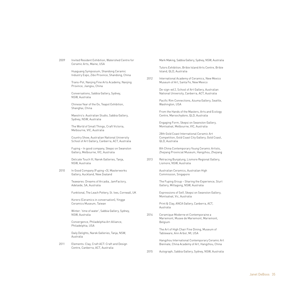2009 Invited Resident Exhibition, Watershed Centre for Ceramic Arts, Maine, USA

> Huaguang Symposium, Shandong Ceramic Industry Expo, Zibo Province, Shandong, China

 Trans-Pot, Nanjing Fine Arts Academy, Nanjing Province, Jiangsu, China

 Conversations, Sabbia Gallery, Sydney, NSW, Australia

 Chinese Year of the Ox, Teapot Exhibition, Shanghai, China

 Maestro's: Australian Studio, Sabbia Gallery, Sydney, NSW, Australia

 The World of Small Things, Craft Victoria, Melbourne, VIC, Australia

 Country Show, Australian National University School of Art Gallery, Canberra, ACT, Australia

 Fuping – In good company, Skepsi on Swanston Gallery, Melbourne, VIC, Australia

 Delicate Touch III, Narek Galleries, Tanja, NSW, Australia

2010 In Good Company (Fuping +3), Masterworks Gallery, Auckland, New Zealand

> Teawares: Dreams of Arcadia, JamFactory, Adelaide, SA, Australia

Funktional, The Leach Pottery, St. Ives, Cornwall, UK

 Korero (Ceramics in conversation), Yingge Ceramics Museum, Taiwan

 Winter: 'time of water', Sabbia Gallery, Sydney, NSW, Australia

 Convergence, Philadelphia Art Alliance, Philadelphia, USA

Daily Delights, Narek Galleries, Tanja, NSW, Australia

2011 Elements: Clay, Craft ACT: Craft and Design Centre, Canberra, ACT, Australia

Mark Making, Sabbia Gallery, Sydney, NSW, Australia

 Tutors Exhibition, Bribie Island Arts Centre, Bribie Island, QLD, Australia

2012 International Academy of Ceramics, New Mexico Museum of Art, Santa Fe, New Mexico

> De-sign-ed 2, School of Art Gallery, Australian National University, Canberra, ACT, Australia

 Pacific Rim Connections, Azuma Gallery, Seattle, Washington, USA

 From the Hands of the Masters, Arts and Ecology Centre, Maroochydore, QLD, Australia

 Engaging Form, Skepsi on Swanston Gallery, Montsalvat, Melbourne, VIC, Australia

 28th Gold Coast International Ceramic Art Competition, Gold Coast City Gallery, Gold Coast, QLD, Australia

 8th China Contemporary Young Ceramic Artists, Zhejiang Provincial Museum, Hangzhou, Zhejiang

2013 Retracing Bunjalung, Lismore Regional Gallery, Lismore, NSW, Australia

> Australian Ceramics, Australian High Commission, Singapore

 The Fuping Group – Sharing the Experience, Sturt Gallery, Mittagong, NSW, Australia

 Expressions of Self, Skepsi on Swanston Gallery, Montsalvat, Vic, Australia

Print & Clay, ANCA Gallery, Canberra, ACT, Australia

2014 Ceramique Moderne et Contemporaine a Mariemont, Musee de Mariemont, Mariemont, Belgium

> The Art of High Chair Fine Dining, Museum of Tableware, Ann Arbor, MI, USA

 Hangzhou International Contemporary Ceramic Art Biennale, China Academy of Art, Hangzhou, China

2015 Autograph, Sabbia Gallery, Sydney, NSW, Australia